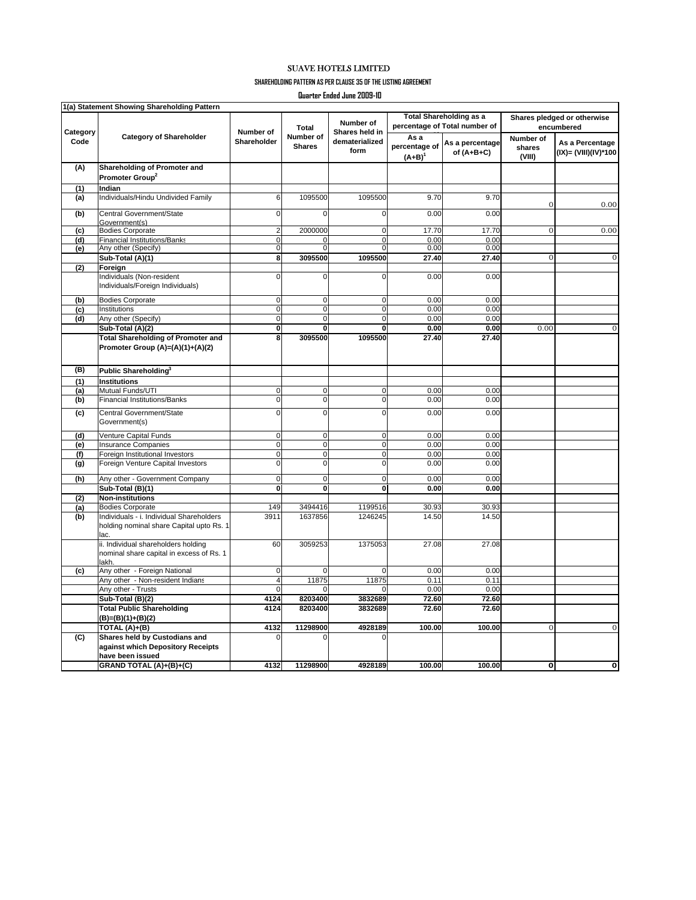## SUAVE HOTELS LIMITED

**SHAREHOLDING PATTERN AS PER CLAUSE 35 OF THE LISTING AGREEMENT**

**Quarter Ended June 2009-10**

|                  | 1(a) Statement Showing Shareholding Pattern                                                  |                          |                                            |                                                       |                                                                 |                                 |                                           |                                         |
|------------------|----------------------------------------------------------------------------------------------|--------------------------|--------------------------------------------|-------------------------------------------------------|-----------------------------------------------------------------|---------------------------------|-------------------------------------------|-----------------------------------------|
| Category<br>Code | <b>Category of Shareholder</b>                                                               | Number of<br>Shareholder | <b>Total</b><br>Number of<br><b>Shares</b> | Number of<br>Shares held in<br>dematerialized<br>form | <b>Total Shareholding as a</b><br>percentage of Total number of |                                 | Shares pledged or otherwise<br>encumbered |                                         |
|                  |                                                                                              |                          |                                            |                                                       | As a<br>percentage of<br>$(A+B)^{1}$                            | As a percentage<br>of $(A+B+C)$ | Number of<br>shares<br>(VIII)             | As a Percentage<br>(IX)= (VIII)(IV)*100 |
| (A)              | Shareholding of Promoter and<br>Promoter Group <sup>2</sup>                                  |                          |                                            |                                                       |                                                                 |                                 |                                           |                                         |
| (1)              | Indian                                                                                       |                          |                                            |                                                       |                                                                 |                                 |                                           |                                         |
| (a)              | Individuals/Hindu Undivided Family                                                           | 6                        | 1095500                                    | 1095500                                               | 9.70                                                            | 9.70                            | $\mathbf 0$                               | 0.00                                    |
| (b)              | Central Government/State<br>Government(s)                                                    | $\mathbf 0$              | $\mathbf 0$                                | 0                                                     | 0.00                                                            | 0.00                            |                                           |                                         |
| (c)              | <b>Bodies Corporate</b>                                                                      | $\overline{\mathbf{c}}$  | 2000000                                    | $\mathbf 0$                                           | 17.70                                                           | 17.70                           | $\mathbf 0$                               | 0.00                                    |
| (d)              | <b>Financial Institutions/Banks</b>                                                          | $\mathbf 0$              | 0                                          | $\mathbf 0$                                           | 0.00                                                            | 0.00                            |                                           |                                         |
| (e)              | Any other (Specify)                                                                          | $\overline{0}$           | $\mathbf 0$                                | $\mathbf 0$                                           | 0.00                                                            | 0.00                            |                                           |                                         |
|                  | Sub-Total (A)(1)                                                                             | 8                        | 3095500                                    | 1095500                                               | 27.40                                                           | 27.40                           | $\overline{0}$                            | $\overline{0}$                          |
| (2)              | Foreign                                                                                      |                          |                                            |                                                       |                                                                 |                                 |                                           |                                         |
|                  | Individuals (Non-resident<br>Individuals/Foreign Individuals)                                | $\mathbf 0$              | 0                                          | $\Omega$                                              | 0.00                                                            | 0.00                            |                                           |                                         |
| (b)              | <b>Bodies Corporate</b>                                                                      | $\mathbf 0$              | 0                                          | $\mathbf 0$                                           | 0.00                                                            | 0.00                            |                                           |                                         |
| (c)              | Institutions                                                                                 | $\overline{0}$           | $\mathbf 0$                                | $\overline{0}$                                        | 0.00                                                            | 0.00                            |                                           |                                         |
| (d)              | Any other (Specify)                                                                          | $\overline{0}$           | 0                                          | $\mathbf 0$                                           | 0.00                                                            | 0.00                            |                                           |                                         |
|                  | Sub-Total (A)(2)                                                                             | $\mathbf{0}$             | $\bf{0}$                                   | $\bf{0}$                                              | 0.00                                                            | 0.00                            | 0.00                                      | $\mathbf{0}$                            |
|                  | <b>Total Shareholding of Promoter and</b>                                                    | 8                        | 3095500                                    | 1095500                                               | 27.40                                                           | 27.40                           |                                           |                                         |
|                  | Promoter Group (A)=(A)(1)+(A)(2)                                                             |                          |                                            |                                                       |                                                                 |                                 |                                           |                                         |
| (B)              | Public Shareholding <sup>3</sup>                                                             |                          |                                            |                                                       |                                                                 |                                 |                                           |                                         |
| (1)              | <b>Institutions</b>                                                                          |                          |                                            |                                                       |                                                                 |                                 |                                           |                                         |
| (a)              | Mutual Funds/UTI                                                                             | $\mathbf 0$              | $\mathbf 0$                                | $\mathbf 0$                                           | 0.00                                                            | 0.00                            |                                           |                                         |
| (b)              | <b>Financial Institutions/Banks</b>                                                          | 0                        | 0                                          | $\overline{0}$                                        | 0.00                                                            | 0.00                            |                                           |                                         |
| (c)              | Central Government/State<br>Government(s)                                                    | $\overline{0}$           | $\overline{0}$                             | $\overline{0}$                                        | 0.00                                                            | 0.00                            |                                           |                                         |
| (d)              | Venture Capital Funds                                                                        | $\overline{0}$           | $\mathbf 0$                                | $\mathbf 0$                                           | 0.00                                                            | 0.00                            |                                           |                                         |
| (e)              | <b>Insurance Companies</b>                                                                   | $\mathbf 0$              | $\mathbf 0$                                | $\mathbf 0$                                           | 0.00                                                            | 0.00                            |                                           |                                         |
| (f)              | Foreign Institutional Investors                                                              | $\mathbf 0$              | $\mathbf 0$                                | $\mathbf 0$                                           | 0.00                                                            | 0.00                            |                                           |                                         |
|                  | Foreign Venture Capital Investors                                                            | $\mathbf 0$              | 0                                          | $\Omega$                                              | 0.00                                                            | 0.00                            |                                           |                                         |
| (g)              |                                                                                              |                          |                                            |                                                       |                                                                 |                                 |                                           |                                         |
| (h)              | Any other - Government Company                                                               | $\overline{\mathbf{0}}$  | $\mathbf 0$                                | $\mathbf 0$                                           | 0.00                                                            | 0.00                            |                                           |                                         |
|                  | Sub-Total (B)(1)                                                                             | $\mathbf 0$              | $\mathbf{0}$                               | $\mathbf{0}$                                          | 0.00                                                            | 0.00                            |                                           |                                         |
| (2)              | <b>Non-institutions</b>                                                                      |                          |                                            |                                                       |                                                                 |                                 |                                           |                                         |
| (a)              | <b>Bodies Corporate</b>                                                                      | 149                      | 3494416                                    | 1199516                                               | 30.93                                                           | 30.93                           |                                           |                                         |
| (b)              | Individuals - i. Individual Shareholders<br>holding nominal share Capital upto Rs. 1<br>lac. | 3911                     | 1637856                                    | 1246245                                               | 14.50                                                           | 14.50                           |                                           |                                         |
|                  | ii. Individual shareholders holding<br>nominal share capital in excess of Rs. 1<br>lakh.     | 60                       | 3059253                                    | 1375053                                               | 27.08                                                           | 27.08                           |                                           |                                         |
| (c)              | Any other - Foreign National                                                                 | $\mathbf 0$              | $\Omega$                                   | $\Omega$                                              | 0.00                                                            | 0.00                            |                                           |                                         |
|                  | Any other - Non-resident Indians                                                             | $\overline{4}$           | 11875                                      | 11875                                                 | 0.11                                                            | 0.11                            |                                           |                                         |
|                  | Any other - Trusts                                                                           | $\Omega$                 | $\Omega$                                   | $\Omega$                                              | 0.00                                                            | 0.00                            |                                           |                                         |
|                  | Sub-Total (B)(2)                                                                             | 4124                     | 8203400                                    | 3832689                                               | 72.60                                                           | 72.60                           |                                           |                                         |
|                  | <b>Total Public Shareholding</b><br>(B)=(B)(1)+(B)(2)                                        | 4124                     | 8203400                                    | 3832689                                               | 72.60                                                           | 72.60                           |                                           |                                         |
|                  | TOTAL (A)+(B)                                                                                | 4132                     | 11298900                                   | 4928189                                               | 100.00                                                          | 100.00                          | $\Omega$                                  | $\mathbf 0$                             |
| (C)              | Shares held by Custodians and<br>against which Depository Receipts<br>have been issued       | $\Omega$                 |                                            |                                                       |                                                                 |                                 |                                           |                                         |
|                  | GRAND TOTAL (A)+(B)+(C)                                                                      | 4132                     | 11298900                                   | 4928189                                               | 100.00                                                          | 100.00                          | $\overline{\mathbf{o}}$                   | O                                       |